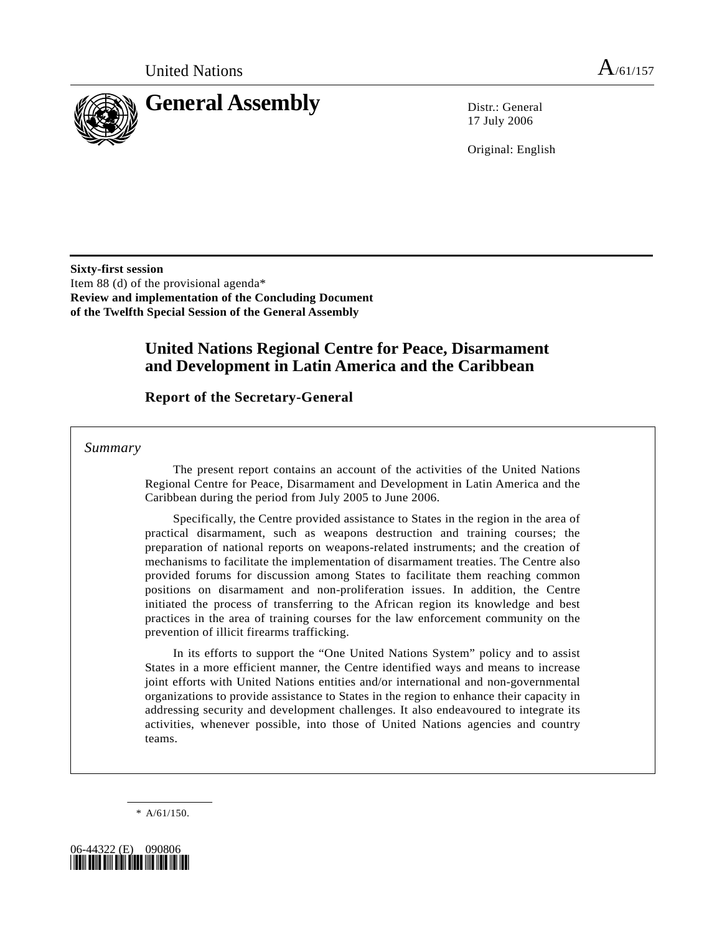

17 July 2006

Original: English

**Sixty-first session**  Item 88 (d) of the provisional agenda\* **Review and implementation of the Concluding Document of the Twelfth Special Session of the General Assembly** 

# **United Nations Regional Centre for Peace, Disarmament and Development in Latin America and the Caribbean**

# **Report of the Secretary-General**

 *Summary* 

 The present report contains an account of the activities of the United Nations Regional Centre for Peace, Disarmament and Development in Latin America and the Caribbean during the period from July 2005 to June 2006.

 Specifically, the Centre provided assistance to States in the region in the area of practical disarmament, such as weapons destruction and training courses; the preparation of national reports on weapons-related instruments; and the creation of mechanisms to facilitate the implementation of disarmament treaties. The Centre also provided forums for discussion among States to facilitate them reaching common positions on disarmament and non-proliferation issues. In addition, the Centre initiated the process of transferring to the African region its knowledge and best practices in the area of training courses for the law enforcement community on the prevention of illicit firearms trafficking.

 In its efforts to support the "One United Nations System" policy and to assist States in a more efficient manner, the Centre identified ways and means to increase joint efforts with United Nations entities and/or international and non-governmental organizations to provide assistance to States in the region to enhance their capacity in addressing security and development challenges. It also endeavoured to integrate its activities, whenever possible, into those of United Nations agencies and country teams.

\* A/61/150.

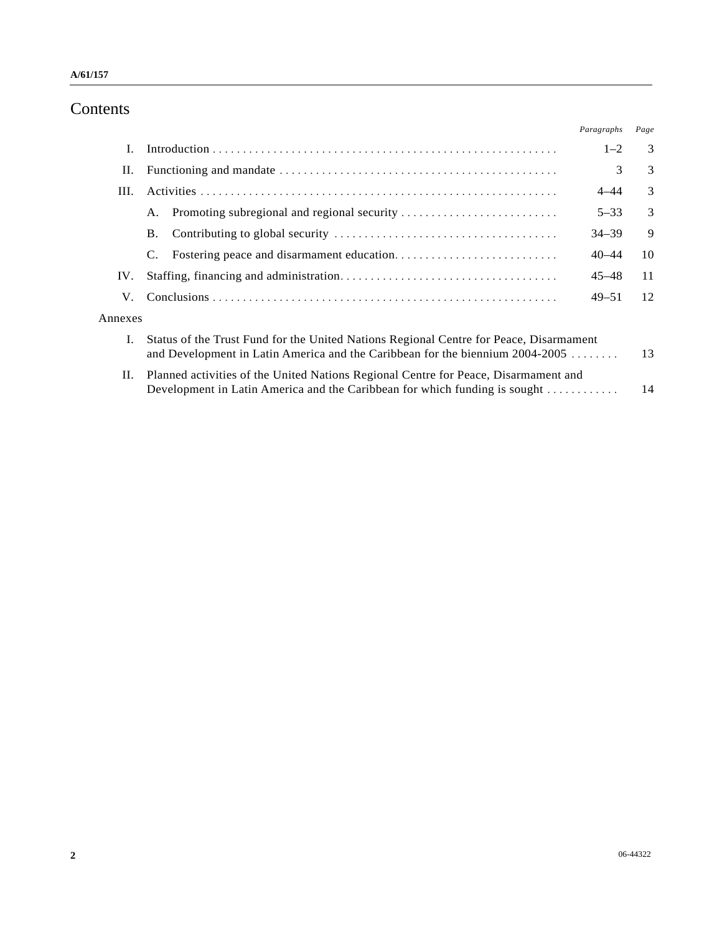# Contents

|         |                                                                                                                                                                                       | Paragraphs | Page |
|---------|---------------------------------------------------------------------------------------------------------------------------------------------------------------------------------------|------------|------|
| I.      |                                                                                                                                                                                       | $1 - 2$    | 3    |
| П.      |                                                                                                                                                                                       | 3          | 3    |
| III.    |                                                                                                                                                                                       | $4 - 44$   | 3    |
|         | Promoting subregional and regional security<br>А.                                                                                                                                     | $5 - 33$   | 3    |
|         | В.                                                                                                                                                                                    | $34 - 39$  | 9    |
|         | C.                                                                                                                                                                                    | $40 - 44$  | 10   |
| IV.     |                                                                                                                                                                                       | $45 - 48$  | 11   |
| V.      |                                                                                                                                                                                       | $49 - 51$  | 12   |
| Annexes |                                                                                                                                                                                       |            |      |
| Ι.      | Status of the Trust Fund for the United Nations Regional Centre for Peace, Disarmament<br>and Development in Latin America and the Caribbean for the biennium 2004-2005<br>13         |            |      |
| П.      | Planned activities of the United Nations Regional Centre for Peace, Disarmament and<br>Development in Latin America and the Caribbean for which funding is sought $\dots \dots \dots$ |            | 14   |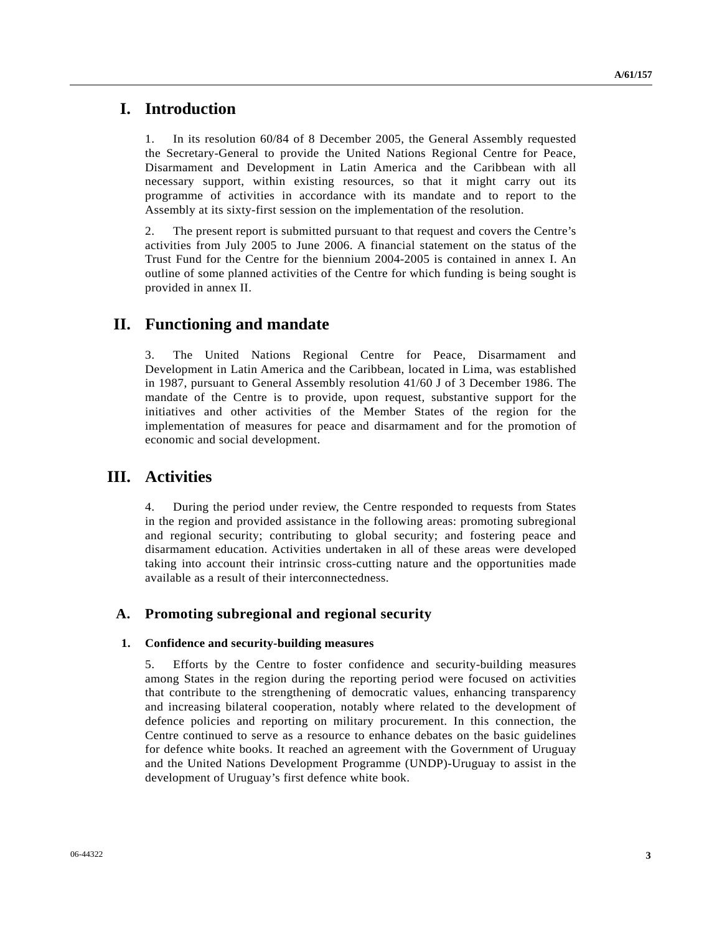# **I. Introduction**

1. In its resolution 60/84 of 8 December 2005, the General Assembly requested the Secretary-General to provide the United Nations Regional Centre for Peace, Disarmament and Development in Latin America and the Caribbean with all necessary support, within existing resources, so that it might carry out its programme of activities in accordance with its mandate and to report to the Assembly at its sixty-first session on the implementation of the resolution.

2. The present report is submitted pursuant to that request and covers the Centre's activities from July 2005 to June 2006. A financial statement on the status of the Trust Fund for the Centre for the biennium 2004-2005 is contained in annex I. An outline of some planned activities of the Centre for which funding is being sought is provided in annex II.

# **II. Functioning and mandate**

3. The United Nations Regional Centre for Peace, Disarmament and Development in Latin America and the Caribbean, located in Lima, was established in 1987, pursuant to General Assembly resolution 41/60 J of 3 December 1986. The mandate of the Centre is to provide, upon request, substantive support for the initiatives and other activities of the Member States of the region for the implementation of measures for peace and disarmament and for the promotion of economic and social development.

# **III. Activities**

4. During the period under review, the Centre responded to requests from States in the region and provided assistance in the following areas: promoting subregional and regional security; contributing to global security; and fostering peace and disarmament education. Activities undertaken in all of these areas were developed taking into account their intrinsic cross-cutting nature and the opportunities made available as a result of their interconnectedness.

## **A. Promoting subregional and regional security**

### **1. Confidence and security-building measures**

5. Efforts by the Centre to foster confidence and security-building measures among States in the region during the reporting period were focused on activities that contribute to the strengthening of democratic values, enhancing transparency and increasing bilateral cooperation, notably where related to the development of defence policies and reporting on military procurement. In this connection, the Centre continued to serve as a resource to enhance debates on the basic guidelines for defence white books. It reached an agreement with the Government of Uruguay and the United Nations Development Programme (UNDP)-Uruguay to assist in the development of Uruguay's first defence white book.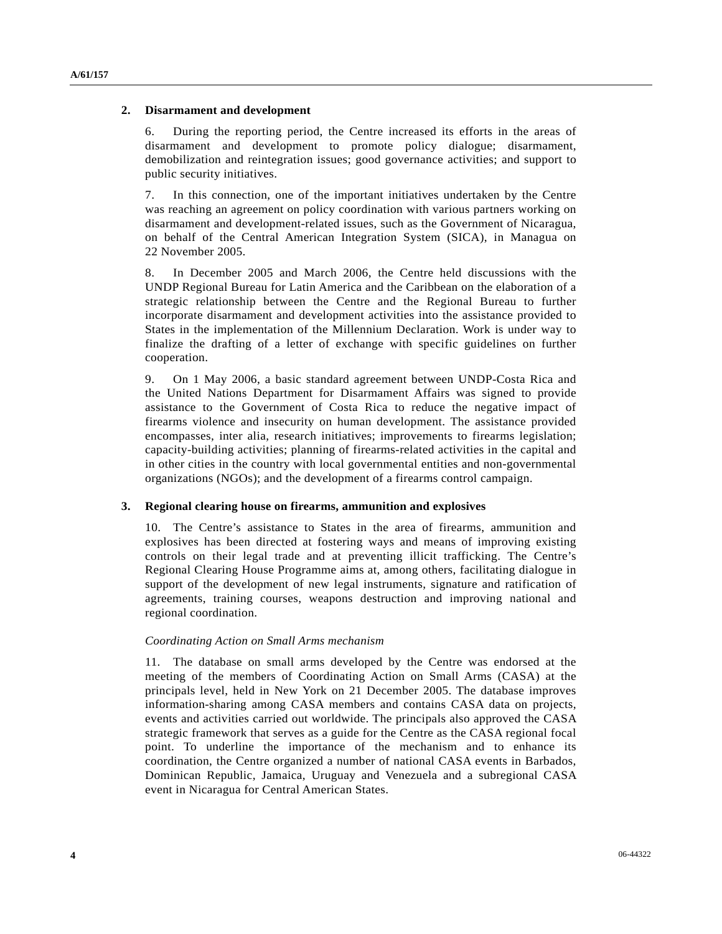## **2. Disarmament and development**

6. During the reporting period, the Centre increased its efforts in the areas of disarmament and development to promote policy dialogue; disarmament, demobilization and reintegration issues; good governance activities; and support to public security initiatives.

7. In this connection, one of the important initiatives undertaken by the Centre was reaching an agreement on policy coordination with various partners working on disarmament and development-related issues, such as the Government of Nicaragua, on behalf of the Central American Integration System (SICA), in Managua on 22 November 2005.

8. In December 2005 and March 2006, the Centre held discussions with the UNDP Regional Bureau for Latin America and the Caribbean on the elaboration of a strategic relationship between the Centre and the Regional Bureau to further incorporate disarmament and development activities into the assistance provided to States in the implementation of the Millennium Declaration. Work is under way to finalize the drafting of a letter of exchange with specific guidelines on further cooperation.

9. On 1 May 2006, a basic standard agreement between UNDP-Costa Rica and the United Nations Department for Disarmament Affairs was signed to provide assistance to the Government of Costa Rica to reduce the negative impact of firearms violence and insecurity on human development. The assistance provided encompasses, inter alia, research initiatives; improvements to firearms legislation; capacity-building activities; planning of firearms-related activities in the capital and in other cities in the country with local governmental entities and non-governmental organizations (NGOs); and the development of a firearms control campaign.

### **3. Regional clearing house on firearms, ammunition and explosives**

10. The Centre's assistance to States in the area of firearms, ammunition and explosives has been directed at fostering ways and means of improving existing controls on their legal trade and at preventing illicit trafficking. The Centre's Regional Clearing House Programme aims at, among others, facilitating dialogue in support of the development of new legal instruments, signature and ratification of agreements, training courses, weapons destruction and improving national and regional coordination.

### *Coordinating Action on Small Arms mechanism*

11. The database on small arms developed by the Centre was endorsed at the meeting of the members of Coordinating Action on Small Arms (CASA) at the principals level, held in New York on 21 December 2005. The database improves information-sharing among CASA members and contains CASA data on projects, events and activities carried out worldwide. The principals also approved the CASA strategic framework that serves as a guide for the Centre as the CASA regional focal point. To underline the importance of the mechanism and to enhance its coordination, the Centre organized a number of national CASA events in Barbados, Dominican Republic, Jamaica, Uruguay and Venezuela and a subregional CASA event in Nicaragua for Central American States.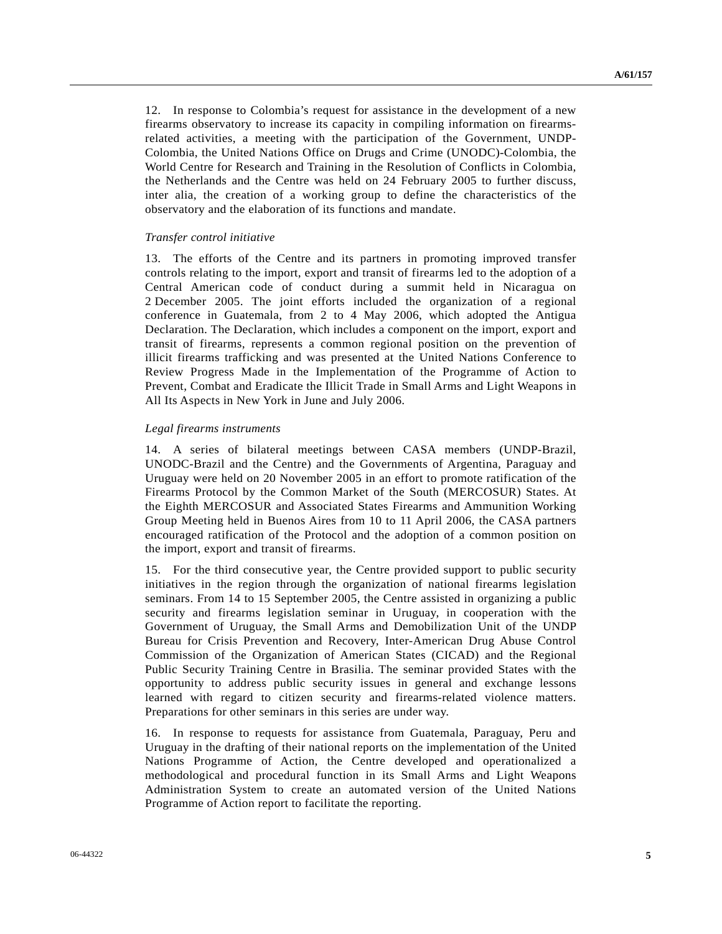12. In response to Colombia's request for assistance in the development of a new firearms observatory to increase its capacity in compiling information on firearmsrelated activities, a meeting with the participation of the Government, UNDP-Colombia, the United Nations Office on Drugs and Crime (UNODC)-Colombia, the World Centre for Research and Training in the Resolution of Conflicts in Colombia, the Netherlands and the Centre was held on 24 February 2005 to further discuss, inter alia, the creation of a working group to define the characteristics of the observatory and the elaboration of its functions and mandate.

### *Transfer control initiative*

13. The efforts of the Centre and its partners in promoting improved transfer controls relating to the import, export and transit of firearms led to the adoption of a Central American code of conduct during a summit held in Nicaragua on 2 December 2005. The joint efforts included the organization of a regional conference in Guatemala, from 2 to 4 May 2006, which adopted the Antigua Declaration. The Declaration, which includes a component on the import, export and transit of firearms, represents a common regional position on the prevention of illicit firearms trafficking and was presented at the United Nations Conference to Review Progress Made in the Implementation of the Programme of Action to Prevent, Combat and Eradicate the Illicit Trade in Small Arms and Light Weapons in All Its Aspects in New York in June and July 2006.

### *Legal firearms instruments*

14. A series of bilateral meetings between CASA members (UNDP-Brazil, UNODC-Brazil and the Centre) and the Governments of Argentina, Paraguay and Uruguay were held on 20 November 2005 in an effort to promote ratification of the Firearms Protocol by the Common Market of the South (MERCOSUR) States. At the Eighth MERCOSUR and Associated States Firearms and Ammunition Working Group Meeting held in Buenos Aires from 10 to 11 April 2006, the CASA partners encouraged ratification of the Protocol and the adoption of a common position on the import, export and transit of firearms.

15. For the third consecutive year, the Centre provided support to public security initiatives in the region through the organization of national firearms legislation seminars. From 14 to 15 September 2005, the Centre assisted in organizing a public security and firearms legislation seminar in Uruguay, in cooperation with the Government of Uruguay, the Small Arms and Demobilization Unit of the UNDP Bureau for Crisis Prevention and Recovery, Inter-American Drug Abuse Control Commission of the Organization of American States (CICAD) and the Regional Public Security Training Centre in Brasilia. The seminar provided States with the opportunity to address public security issues in general and exchange lessons learned with regard to citizen security and firearms-related violence matters. Preparations for other seminars in this series are under way.

16. In response to requests for assistance from Guatemala, Paraguay, Peru and Uruguay in the drafting of their national reports on the implementation of the United Nations Programme of Action, the Centre developed and operationalized a methodological and procedural function in its Small Arms and Light Weapons Administration System to create an automated version of the United Nations Programme of Action report to facilitate the reporting.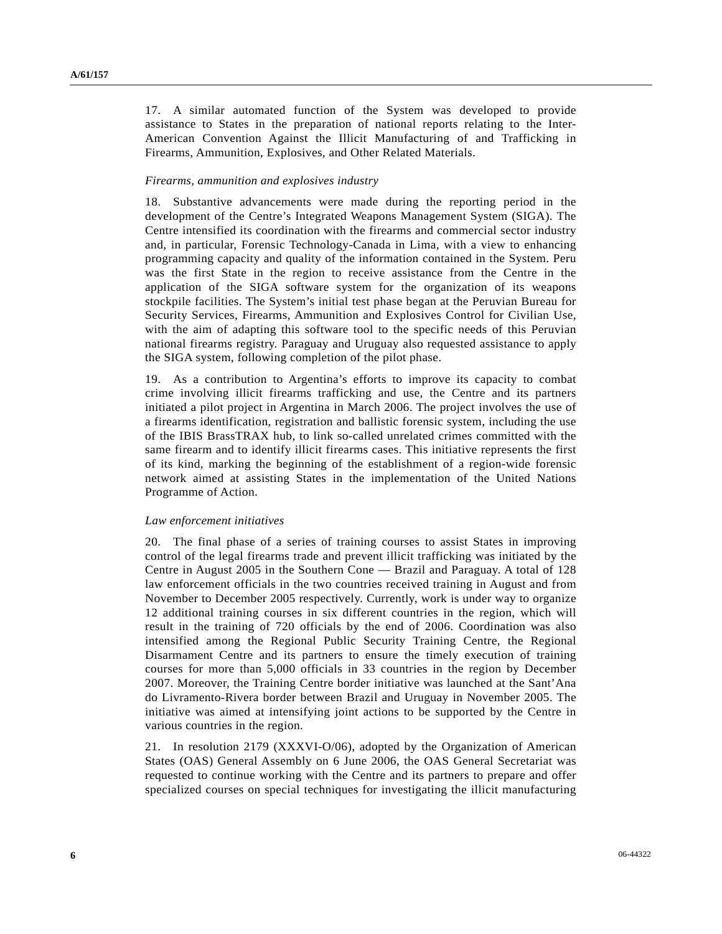17. A similar automated function of the System was developed to provide assistance to States in the preparation of national reports relating to the Inter-American Convention Against the Illicit Manufacturing of and Trafficking in Firearms, Ammunition, Explosives, and Other Related Materials.

### *Firearms, ammunition and explosives industry*

18. Substantive advancements were made during the reporting period in the development of the Centre's Integrated Weapons Management System (SIGA). The Centre intensified its coordination with the firearms and commercial sector industry and, in particular, Forensic Technology-Canada in Lima, with a view to enhancing programming capacity and quality of the information contained in the System. Peru was the first State in the region to receive assistance from the Centre in the application of the SIGA software system for the organization of its weapons stockpile facilities. The System's initial test phase began at the Peruvian Bureau for Security Services, Firearms, Ammunition and Explosives Control for Civilian Use, with the aim of adapting this software tool to the specific needs of this Peruvian national firearms registry. Paraguay and Uruguay also requested assistance to apply the SIGA system, following completion of the pilot phase.

19. As a contribution to Argentina's efforts to improve its capacity to combat crime involving illicit firearms trafficking and use, the Centre and its partners initiated a pilot project in Argentina in March 2006. The project involves the use of a firearms identification, registration and ballistic forensic system, including the use of the IBIS BrassTRAX hub, to link so-called unrelated crimes committed with the same firearm and to identify illicit firearms cases. This initiative represents the first of its kind, marking the beginning of the establishment of a region-wide forensic network aimed at assisting States in the implementation of the United Nations Programme of Action.

### *Law enforcement initiatives*

20. The final phase of a series of training courses to assist States in improving control of the legal firearms trade and prevent illicit trafficking was initiated by the Centre in August 2005 in the Southern Cone — Brazil and Paraguay. A total of 128 law enforcement officials in the two countries received training in August and from November to December 2005 respectively. Currently, work is under way to organize 12 additional training courses in six different countries in the region, which will result in the training of 720 officials by the end of 2006. Coordination was also intensified among the Regional Public Security Training Centre, the Regional Disarmament Centre and its partners to ensure the timely execution of training courses for more than 5,000 officials in 33 countries in the region by December 2007. Moreover, the Training Centre border initiative was launched at the Sant'Ana do Livramento-Rivera border between Brazil and Uruguay in November 2005. The initiative was aimed at intensifying joint actions to be supported by the Centre in various countries in the region.

21. In resolution 2179 (XXXVI-O/06), adopted by the Organization of American States (OAS) General Assembly on 6 June 2006, the OAS General Secretariat was requested to continue working with the Centre and its partners to prepare and offer specialized courses on special techniques for investigating the illicit manufacturing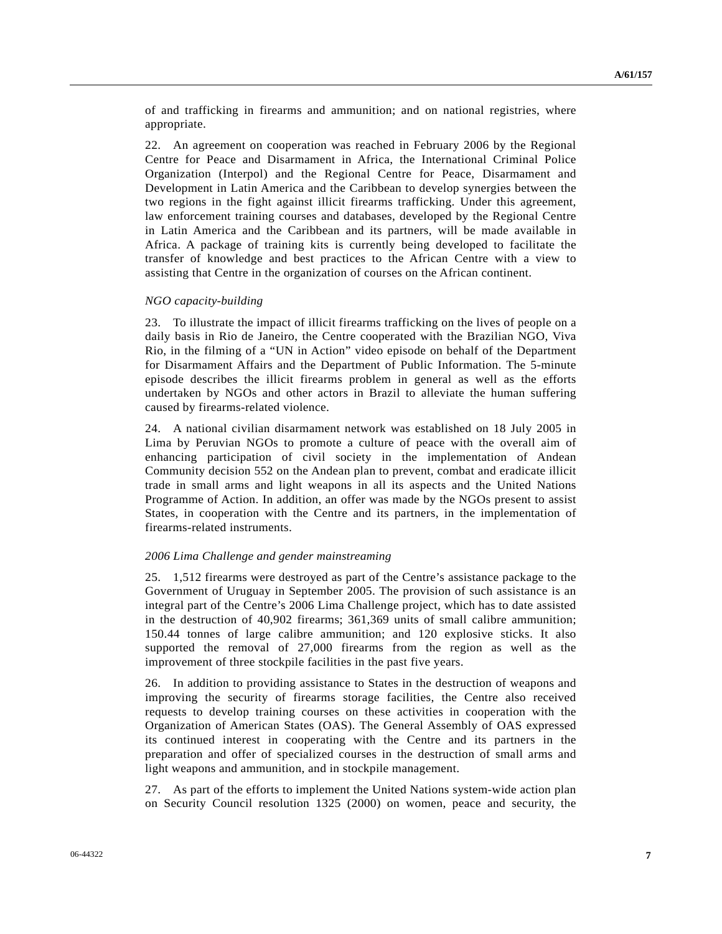of and trafficking in firearms and ammunition; and on national registries, where appropriate.

22. An agreement on cooperation was reached in February 2006 by the Regional Centre for Peace and Disarmament in Africa, the International Criminal Police Organization (Interpol) and the Regional Centre for Peace, Disarmament and Development in Latin America and the Caribbean to develop synergies between the two regions in the fight against illicit firearms trafficking. Under this agreement, law enforcement training courses and databases, developed by the Regional Centre in Latin America and the Caribbean and its partners, will be made available in Africa. A package of training kits is currently being developed to facilitate the transfer of knowledge and best practices to the African Centre with a view to assisting that Centre in the organization of courses on the African continent.

#### *NGO capacity-building*

23. To illustrate the impact of illicit firearms trafficking on the lives of people on a daily basis in Rio de Janeiro, the Centre cooperated with the Brazilian NGO, Viva Rio, in the filming of a "UN in Action" video episode on behalf of the Department for Disarmament Affairs and the Department of Public Information. The 5-minute episode describes the illicit firearms problem in general as well as the efforts undertaken by NGOs and other actors in Brazil to alleviate the human suffering caused by firearms-related violence.

24. A national civilian disarmament network was established on 18 July 2005 in Lima by Peruvian NGOs to promote a culture of peace with the overall aim of enhancing participation of civil society in the implementation of Andean Community decision 552 on the Andean plan to prevent, combat and eradicate illicit trade in small arms and light weapons in all its aspects and the United Nations Programme of Action. In addition, an offer was made by the NGOs present to assist States, in cooperation with the Centre and its partners, in the implementation of firearms-related instruments.

#### *2006 Lima Challenge and gender mainstreaming*

25. 1,512 firearms were destroyed as part of the Centre's assistance package to the Government of Uruguay in September 2005. The provision of such assistance is an integral part of the Centre's 2006 Lima Challenge project, which has to date assisted in the destruction of 40,902 firearms; 361,369 units of small calibre ammunition; 150.44 tonnes of large calibre ammunition; and 120 explosive sticks. It also supported the removal of 27,000 firearms from the region as well as the improvement of three stockpile facilities in the past five years.

26. In addition to providing assistance to States in the destruction of weapons and improving the security of firearms storage facilities, the Centre also received requests to develop training courses on these activities in cooperation with the Organization of American States (OAS). The General Assembly of OAS expressed its continued interest in cooperating with the Centre and its partners in the preparation and offer of specialized courses in the destruction of small arms and light weapons and ammunition, and in stockpile management.

27. As part of the efforts to implement the United Nations system-wide action plan on Security Council resolution 1325 (2000) on women, peace and security, the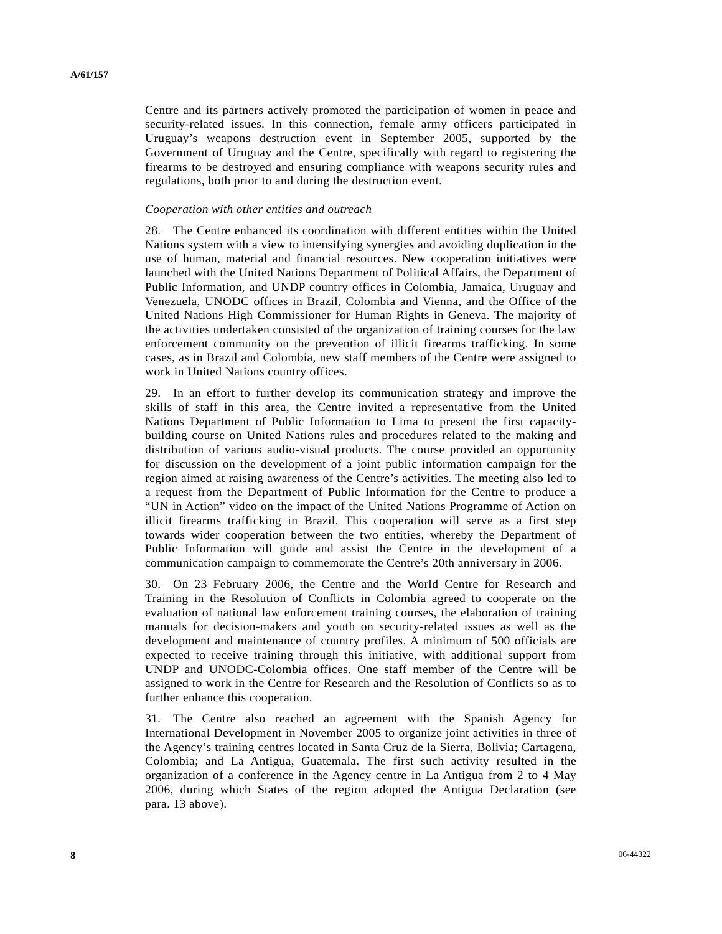Centre and its partners actively promoted the participation of women in peace and security-related issues. In this connection, female army officers participated in Uruguay's weapons destruction event in September 2005, supported by the Government of Uruguay and the Centre, specifically with regard to registering the firearms to be destroyed and ensuring compliance with weapons security rules and regulations, both prior to and during the destruction event.

### *Cooperation with other entities and outreach*

28. The Centre enhanced its coordination with different entities within the United Nations system with a view to intensifying synergies and avoiding duplication in the use of human, material and financial resources. New cooperation initiatives were launched with the United Nations Department of Political Affairs, the Department of Public Information, and UNDP country offices in Colombia, Jamaica, Uruguay and Venezuela, UNODC offices in Brazil, Colombia and Vienna, and the Office of the United Nations High Commissioner for Human Rights in Geneva. The majority of the activities undertaken consisted of the organization of training courses for the law enforcement community on the prevention of illicit firearms trafficking. In some cases, as in Brazil and Colombia, new staff members of the Centre were assigned to work in United Nations country offices.

29. In an effort to further develop its communication strategy and improve the skills of staff in this area, the Centre invited a representative from the United Nations Department of Public Information to Lima to present the first capacitybuilding course on United Nations rules and procedures related to the making and distribution of various audio-visual products. The course provided an opportunity for discussion on the development of a joint public information campaign for the region aimed at raising awareness of the Centre's activities. The meeting also led to a request from the Department of Public Information for the Centre to produce a "UN in Action" video on the impact of the United Nations Programme of Action on illicit firearms trafficking in Brazil. This cooperation will serve as a first step towards wider cooperation between the two entities, whereby the Department of Public Information will guide and assist the Centre in the development of a communication campaign to commemorate the Centre's 20th anniversary in 2006.

30. On 23 February 2006, the Centre and the World Centre for Research and Training in the Resolution of Conflicts in Colombia agreed to cooperate on the evaluation of national law enforcement training courses, the elaboration of training manuals for decision-makers and youth on security-related issues as well as the development and maintenance of country profiles. A minimum of 500 officials are expected to receive training through this initiative, with additional support from UNDP and UNODC-Colombia offices. One staff member of the Centre will be assigned to work in the Centre for Research and the Resolution of Conflicts so as to further enhance this cooperation.

31. The Centre also reached an agreement with the Spanish Agency for International Development in November 2005 to organize joint activities in three of the Agency's training centres located in Santa Cruz de la Sierra, Bolivia; Cartagena, Colombia; and La Antigua, Guatemala. The first such activity resulted in the organization of a conference in the Agency centre in La Antigua from 2 to 4 May 2006, during which States of the region adopted the Antigua Declaration (see para. 13 above).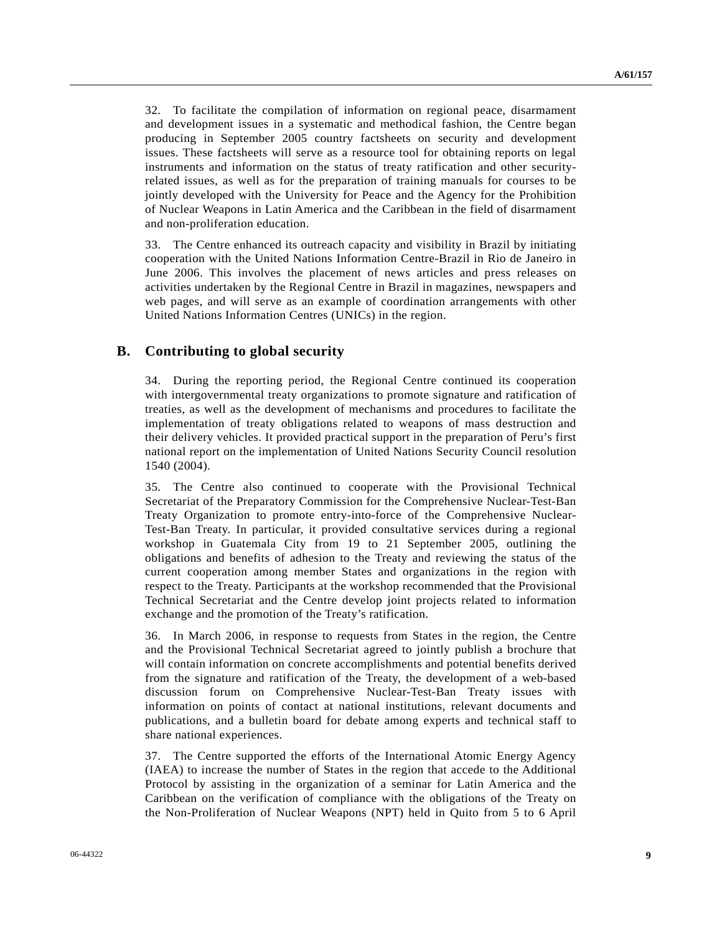32. To facilitate the compilation of information on regional peace, disarmament and development issues in a systematic and methodical fashion, the Centre began producing in September 2005 country factsheets on security and development issues. These factsheets will serve as a resource tool for obtaining reports on legal instruments and information on the status of treaty ratification and other securityrelated issues, as well as for the preparation of training manuals for courses to be jointly developed with the University for Peace and the Agency for the Prohibition of Nuclear Weapons in Latin America and the Caribbean in the field of disarmament and non-proliferation education.

33. The Centre enhanced its outreach capacity and visibility in Brazil by initiating cooperation with the United Nations Information Centre-Brazil in Rio de Janeiro in June 2006. This involves the placement of news articles and press releases on activities undertaken by the Regional Centre in Brazil in magazines, newspapers and web pages, and will serve as an example of coordination arrangements with other United Nations Information Centres (UNICs) in the region.

# **B. Contributing to global security**

34. During the reporting period, the Regional Centre continued its cooperation with intergovernmental treaty organizations to promote signature and ratification of treaties, as well as the development of mechanisms and procedures to facilitate the implementation of treaty obligations related to weapons of mass destruction and their delivery vehicles. It provided practical support in the preparation of Peru's first national report on the implementation of United Nations Security Council resolution 1540 (2004).

35. The Centre also continued to cooperate with the Provisional Technical Secretariat of the Preparatory Commission for the Comprehensive Nuclear-Test-Ban Treaty Organization to promote entry-into-force of the Comprehensive Nuclear-Test-Ban Treaty. In particular, it provided consultative services during a regional workshop in Guatemala City from 19 to 21 September 2005, outlining the obligations and benefits of adhesion to the Treaty and reviewing the status of the current cooperation among member States and organizations in the region with respect to the Treaty. Participants at the workshop recommended that the Provisional Technical Secretariat and the Centre develop joint projects related to information exchange and the promotion of the Treaty's ratification.

36. In March 2006, in response to requests from States in the region, the Centre and the Provisional Technical Secretariat agreed to jointly publish a brochure that will contain information on concrete accomplishments and potential benefits derived from the signature and ratification of the Treaty, the development of a web-based discussion forum on Comprehensive Nuclear-Test-Ban Treaty issues with information on points of contact at national institutions, relevant documents and publications, and a bulletin board for debate among experts and technical staff to share national experiences.

37. The Centre supported the efforts of the International Atomic Energy Agency (IAEA) to increase the number of States in the region that accede to the Additional Protocol by assisting in the organization of a seminar for Latin America and the Caribbean on the verification of compliance with the obligations of the Treaty on the Non-Proliferation of Nuclear Weapons (NPT) held in Quito from 5 to 6 April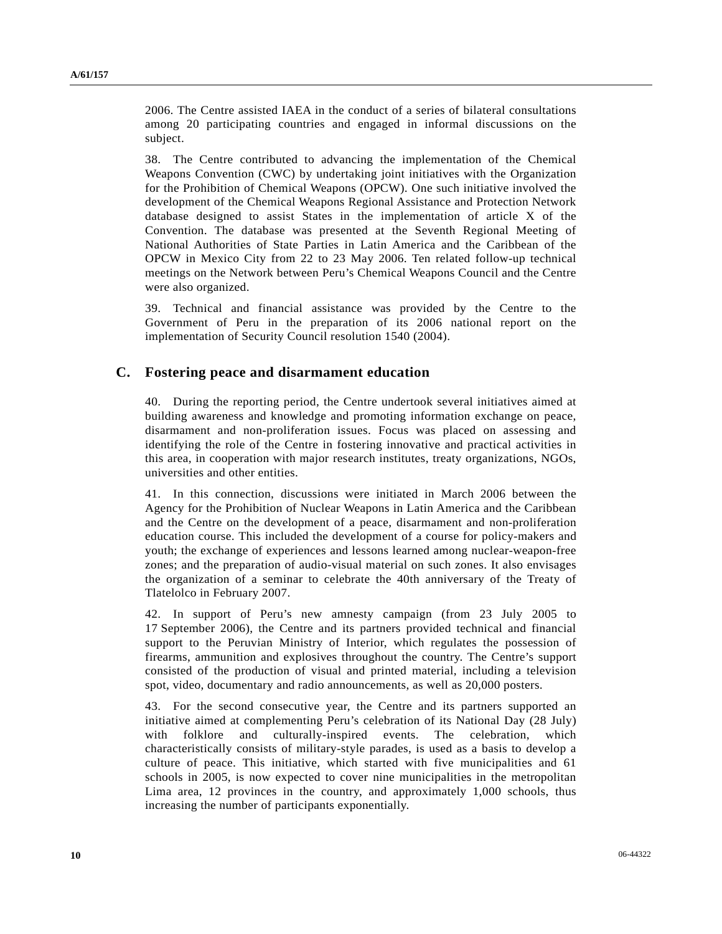2006. The Centre assisted IAEA in the conduct of a series of bilateral consultations among 20 participating countries and engaged in informal discussions on the subject.

38. The Centre contributed to advancing the implementation of the Chemical Weapons Convention (CWC) by undertaking joint initiatives with the Organization for the Prohibition of Chemical Weapons (OPCW). One such initiative involved the development of the Chemical Weapons Regional Assistance and Protection Network database designed to assist States in the implementation of article X of the Convention. The database was presented at the Seventh Regional Meeting of National Authorities of State Parties in Latin America and the Caribbean of the OPCW in Mexico City from 22 to 23 May 2006. Ten related follow-up technical meetings on the Network between Peru's Chemical Weapons Council and the Centre were also organized.

39. Technical and financial assistance was provided by the Centre to the Government of Peru in the preparation of its 2006 national report on the implementation of Security Council resolution 1540 (2004).

# **C. Fostering peace and disarmament education**

40. During the reporting period, the Centre undertook several initiatives aimed at building awareness and knowledge and promoting information exchange on peace, disarmament and non-proliferation issues. Focus was placed on assessing and identifying the role of the Centre in fostering innovative and practical activities in this area, in cooperation with major research institutes, treaty organizations, NGOs, universities and other entities.

41. In this connection, discussions were initiated in March 2006 between the Agency for the Prohibition of Nuclear Weapons in Latin America and the Caribbean and the Centre on the development of a peace, disarmament and non-proliferation education course. This included the development of a course for policy-makers and youth; the exchange of experiences and lessons learned among nuclear-weapon-free zones; and the preparation of audio-visual material on such zones. It also envisages the organization of a seminar to celebrate the 40th anniversary of the Treaty of Tlatelolco in February 2007.

42. In support of Peru's new amnesty campaign (from 23 July 2005 to 17 September 2006), the Centre and its partners provided technical and financial support to the Peruvian Ministry of Interior, which regulates the possession of firearms, ammunition and explosives throughout the country. The Centre's support consisted of the production of visual and printed material, including a television spot, video, documentary and radio announcements, as well as 20,000 posters.

43. For the second consecutive year, the Centre and its partners supported an initiative aimed at complementing Peru's celebration of its National Day (28 July) with folklore and culturally-inspired events. The celebration, which characteristically consists of military-style parades, is used as a basis to develop a culture of peace. This initiative, which started with five municipalities and 61 schools in 2005, is now expected to cover nine municipalities in the metropolitan Lima area, 12 provinces in the country, and approximately 1,000 schools, thus increasing the number of participants exponentially.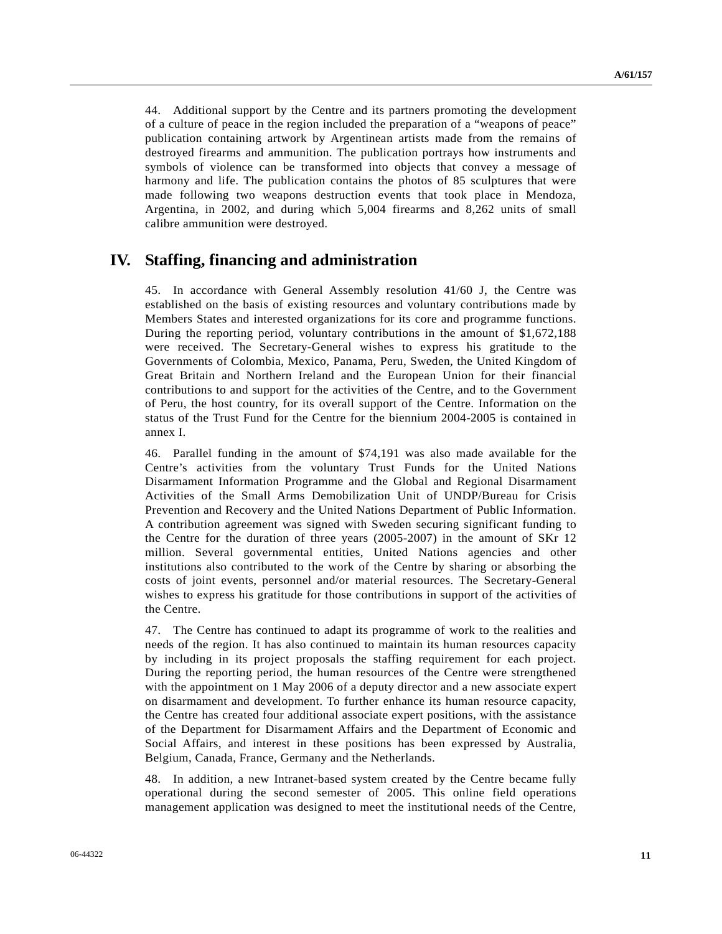44. Additional support by the Centre and its partners promoting the development of a culture of peace in the region included the preparation of a "weapons of peace" publication containing artwork by Argentinean artists made from the remains of destroyed firearms and ammunition. The publication portrays how instruments and symbols of violence can be transformed into objects that convey a message of harmony and life. The publication contains the photos of 85 sculptures that were made following two weapons destruction events that took place in Mendoza, Argentina, in 2002, and during which 5,004 firearms and 8,262 units of small calibre ammunition were destroyed.

# **IV. Staffing, financing and administration**

45. In accordance with General Assembly resolution 41/60 J, the Centre was established on the basis of existing resources and voluntary contributions made by Members States and interested organizations for its core and programme functions. During the reporting period, voluntary contributions in the amount of \$1,672,188 were received. The Secretary-General wishes to express his gratitude to the Governments of Colombia, Mexico, Panama, Peru, Sweden, the United Kingdom of Great Britain and Northern Ireland and the European Union for their financial contributions to and support for the activities of the Centre, and to the Government of Peru, the host country, for its overall support of the Centre. Information on the status of the Trust Fund for the Centre for the biennium 2004-2005 is contained in annex I.

46. Parallel funding in the amount of \$74,191 was also made available for the Centre's activities from the voluntary Trust Funds for the United Nations Disarmament Information Programme and the Global and Regional Disarmament Activities of the Small Arms Demobilization Unit of UNDP/Bureau for Crisis Prevention and Recovery and the United Nations Department of Public Information. A contribution agreement was signed with Sweden securing significant funding to the Centre for the duration of three years (2005-2007) in the amount of SKr 12 million. Several governmental entities, United Nations agencies and other institutions also contributed to the work of the Centre by sharing or absorbing the costs of joint events, personnel and/or material resources. The Secretary-General wishes to express his gratitude for those contributions in support of the activities of the Centre.

47. The Centre has continued to adapt its programme of work to the realities and needs of the region. It has also continued to maintain its human resources capacity by including in its project proposals the staffing requirement for each project. During the reporting period, the human resources of the Centre were strengthened with the appointment on 1 May 2006 of a deputy director and a new associate expert on disarmament and development. To further enhance its human resource capacity, the Centre has created four additional associate expert positions, with the assistance of the Department for Disarmament Affairs and the Department of Economic and Social Affairs, and interest in these positions has been expressed by Australia, Belgium, Canada, France, Germany and the Netherlands.

48. In addition, a new Intranet-based system created by the Centre became fully operational during the second semester of 2005. This online field operations management application was designed to meet the institutional needs of the Centre,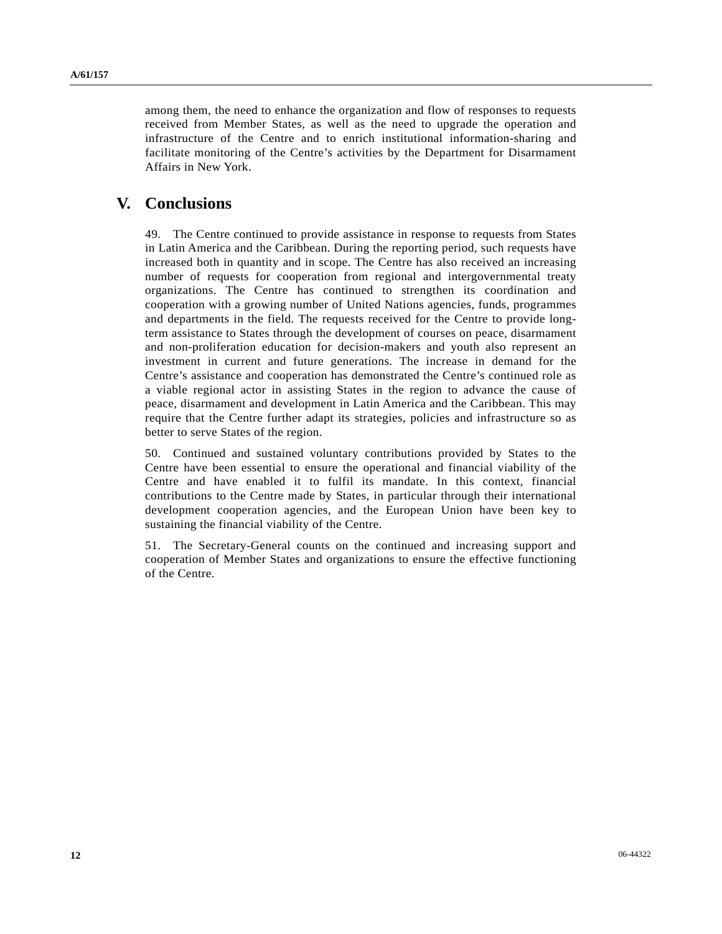among them, the need to enhance the organization and flow of responses to requests received from Member States, as well as the need to upgrade the operation and infrastructure of the Centre and to enrich institutional information-sharing and facilitate monitoring of the Centre's activities by the Department for Disarmament Affairs in New York.

# **V. Conclusions**

49. The Centre continued to provide assistance in response to requests from States in Latin America and the Caribbean. During the reporting period, such requests have increased both in quantity and in scope. The Centre has also received an increasing number of requests for cooperation from regional and intergovernmental treaty organizations. The Centre has continued to strengthen its coordination and cooperation with a growing number of United Nations agencies, funds, programmes and departments in the field. The requests received for the Centre to provide longterm assistance to States through the development of courses on peace, disarmament and non-proliferation education for decision-makers and youth also represent an investment in current and future generations. The increase in demand for the Centre's assistance and cooperation has demonstrated the Centre's continued role as a viable regional actor in assisting States in the region to advance the cause of peace, disarmament and development in Latin America and the Caribbean. This may require that the Centre further adapt its strategies, policies and infrastructure so as better to serve States of the region.

50. Continued and sustained voluntary contributions provided by States to the Centre have been essential to ensure the operational and financial viability of the Centre and have enabled it to fulfil its mandate. In this context, financial contributions to the Centre made by States, in particular through their international development cooperation agencies, and the European Union have been key to sustaining the financial viability of the Centre.

51. The Secretary-General counts on the continued and increasing support and cooperation of Member States and organizations to ensure the effective functioning of the Centre.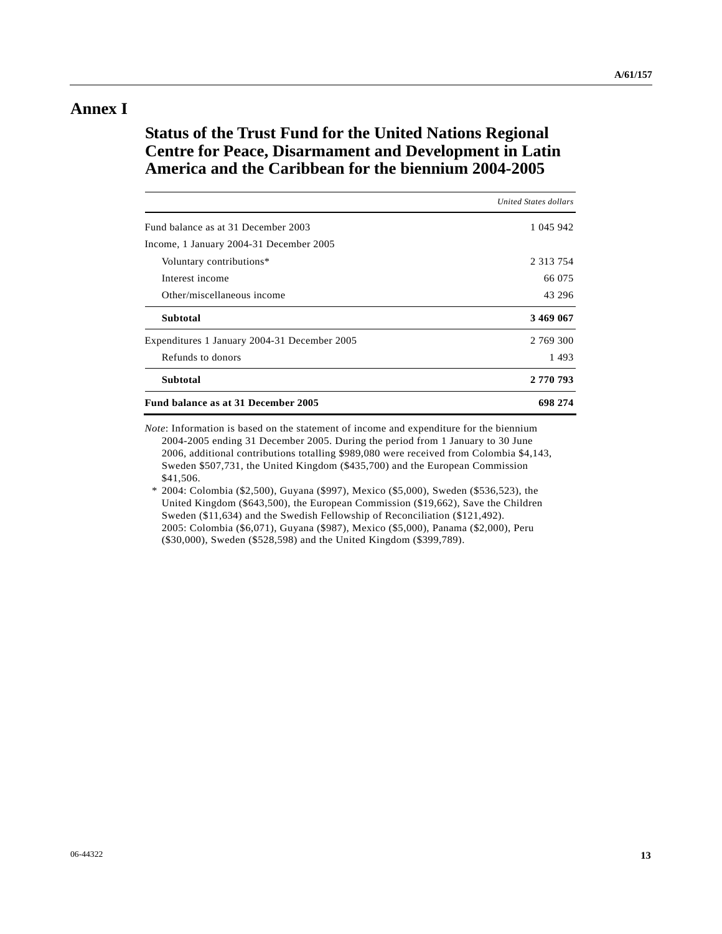# **Annex I**

# **Status of the Trust Fund for the United Nations Regional Centre for Peace, Disarmament and Development in Latin America and the Caribbean for the biennium 2004-2005**

|                                              | <b>United States dollars</b> |
|----------------------------------------------|------------------------------|
| Fund balance as at 31 December 2003          | 1 045 942                    |
| Income, 1 January 2004-31 December 2005      |                              |
| Voluntary contributions*                     | 2 3 1 3 7 5 4                |
| Interest income                              | 66 075                       |
| Other/miscellaneous income                   | 43 296                       |
| <b>Subtotal</b>                              | 3 469 067                    |
| Expenditures 1 January 2004-31 December 2005 | 2 769 300                    |
| Refunds to donors                            | 1493                         |
| <b>Subtotal</b>                              | 2 770 793                    |
| Fund balance as at 31 December 2005          | 698 274                      |

*Note*: Information is based on the statement of income and expenditure for the biennium 2004-2005 ending 31 December 2005. During the period from 1 January to 30 June 2006, additional contributions totalling \$989,080 were received from Colombia \$4,143, Sweden \$507,731, the United Kingdom (\$435,700) and the European Commission \$41,506.

 \* 2004: Colombia (\$2,500), Guyana (\$997), Mexico (\$5,000), Sweden (\$536,523), the United Kingdom (\$643,500), the European Commission (\$19,662), Save the Children Sweden (\$11,634) and the Swedish Fellowship of Reconciliation (\$121,492). 2005: Colombia (\$6,071), Guyana (\$987), Mexico (\$5,000), Panama (\$2,000), Peru (\$30,000), Sweden (\$528,598) and the United Kingdom (\$399,789).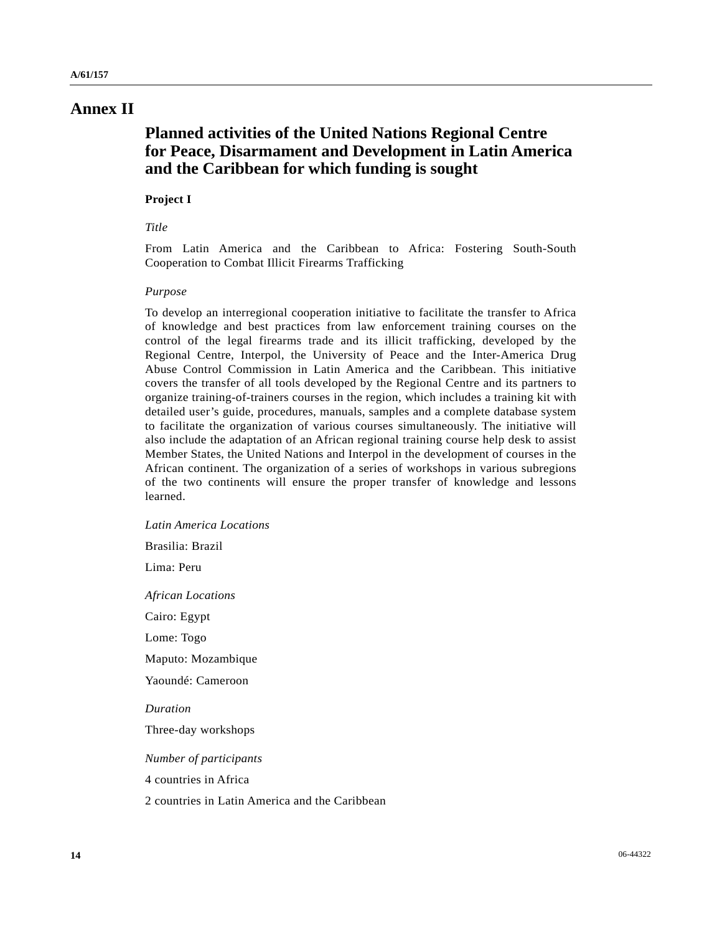# **Annex II**

# **Planned activities of the United Nations Regional Centre for Peace, Disarmament and Development in Latin America and the Caribbean for which funding is sought**

## **Project I**

## *Title*

From Latin America and the Caribbean to Africa: Fostering South-South Cooperation to Combat Illicit Firearms Trafficking

### *Purpose*

To develop an interregional cooperation initiative to facilitate the transfer to Africa of knowledge and best practices from law enforcement training courses on the control of the legal firearms trade and its illicit trafficking, developed by the Regional Centre, Interpol, the University of Peace and the Inter-America Drug Abuse Control Commission in Latin America and the Caribbean. This initiative covers the transfer of all tools developed by the Regional Centre and its partners to organize training-of-trainers courses in the region, which includes a training kit with detailed user's guide, procedures, manuals, samples and a complete database system to facilitate the organization of various courses simultaneously. The initiative will also include the adaptation of an African regional training course help desk to assist Member States, the United Nations and Interpol in the development of courses in the African continent. The organization of a series of workshops in various subregions of the two continents will ensure the proper transfer of knowledge and lessons learned.

 *Latin America Locations* 

Brasilia: Brazil

Lima: Peru

 *African Locations* 

Cairo: Egypt

Lome: Togo

Maputo: Mozambique

Yaoundé: Cameroon

 *Duration* 

Three-day workshops

 *Number of participants* 

4 countries in Africa

2 countries in Latin America and the Caribbean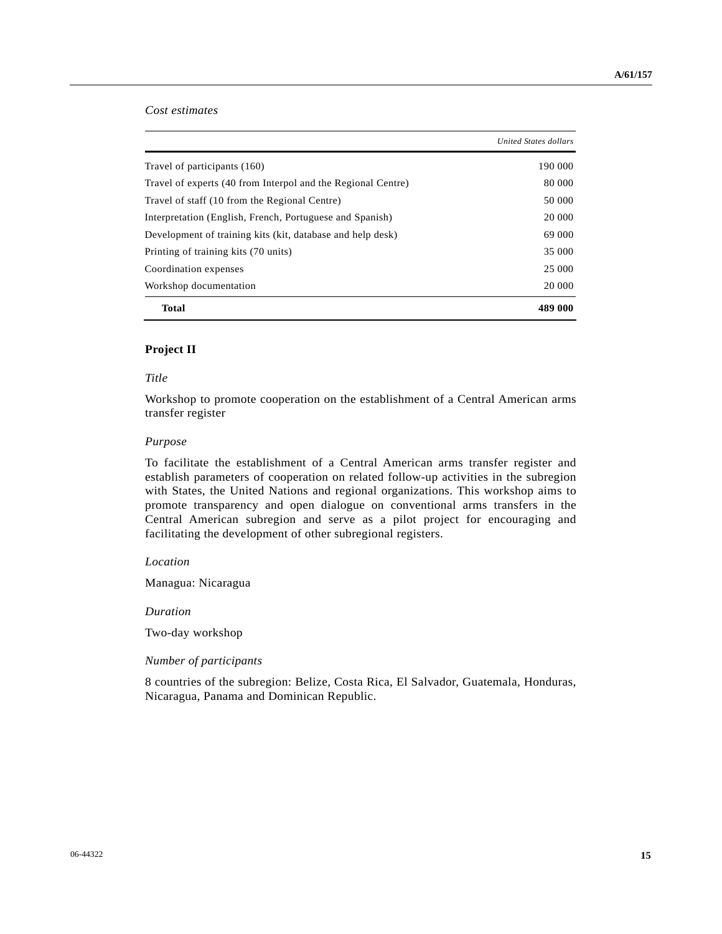## *Cost estimates*

|                                                              | United States dollars |
|--------------------------------------------------------------|-----------------------|
| Travel of participants (160)                                 | 190 000               |
| Travel of experts (40 from Interpol and the Regional Centre) | 80 000                |
| Travel of staff (10 from the Regional Centre)                | 50 000                |
| Interpretation (English, French, Portuguese and Spanish)     | 20 000                |
| Development of training kits (kit, database and help desk)   | 69 000                |
| Printing of training kits (70 units)                         | 35 000                |
| Coordination expenses                                        | 25 000                |
| Workshop documentation                                       | 20 000                |
| <b>Total</b>                                                 | 489 000               |

## **Project II**

### *Title*

Workshop to promote cooperation on the establishment of a Central American arms transfer register

### *Purpose*

To facilitate the establishment of a Central American arms transfer register and establish parameters of cooperation on related follow-up activities in the subregion with States, the United Nations and regional organizations. This workshop aims to promote transparency and open dialogue on conventional arms transfers in the Central American subregion and serve as a pilot project for encouraging and facilitating the development of other subregional registers.

### *Location*

Managua: Nicaragua

 *Duration* 

Two-day workshop

## *Number of participants*

8 countries of the subregion: Belize, Costa Rica, El Salvador, Guatemala, Honduras, Nicaragua, Panama and Dominican Republic.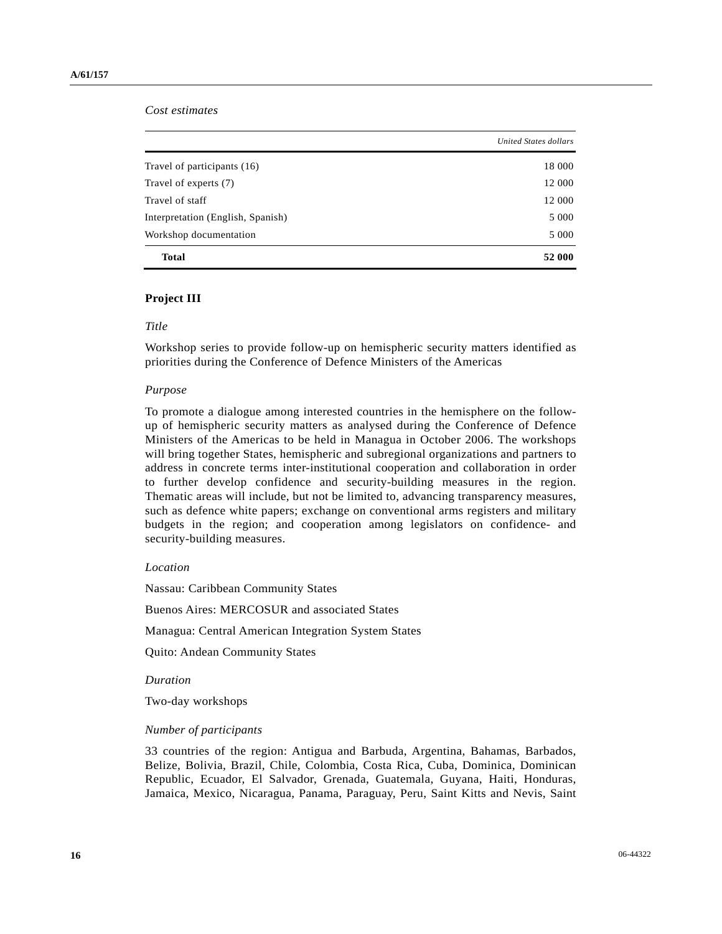*Cost estimates* 

|                                   | United States dollars |
|-----------------------------------|-----------------------|
| Travel of participants (16)       | 18 000                |
| Travel of experts (7)             | 12 000                |
| Travel of staff                   | 12 000                |
| Interpretation (English, Spanish) | 5 0 0 0               |
| Workshop documentation            | 5 0 0 0               |
| <b>Total</b>                      | 52 000                |

### **Project III**

#### *Title*

Workshop series to provide follow-up on hemispheric security matters identified as priorities during the Conference of Defence Ministers of the Americas

### *Purpose*

To promote a dialogue among interested countries in the hemisphere on the followup of hemispheric security matters as analysed during the Conference of Defence Ministers of the Americas to be held in Managua in October 2006. The workshops will bring together States, hemispheric and subregional organizations and partners to address in concrete terms inter-institutional cooperation and collaboration in order to further develop confidence and security-building measures in the region. Thematic areas will include, but not be limited to, advancing transparency measures, such as defence white papers; exchange on conventional arms registers and military budgets in the region; and cooperation among legislators on confidence- and security-building measures.

### *Location*

Nassau: Caribbean Community States

Buenos Aires: MERCOSUR and associated States

Managua: Central American Integration System States

Quito: Andean Community States

 *Duration* 

Two-day workshops

#### *Number of participants*

33 countries of the region: Antigua and Barbuda, Argentina, Bahamas, Barbados, Belize, Bolivia, Brazil, Chile, Colombia, Costa Rica, Cuba, Dominica, Dominican Republic, Ecuador, El Salvador, Grenada, Guatemala, Guyana, Haiti, Honduras, Jamaica, Mexico, Nicaragua, Panama, Paraguay, Peru, Saint Kitts and Nevis, Saint